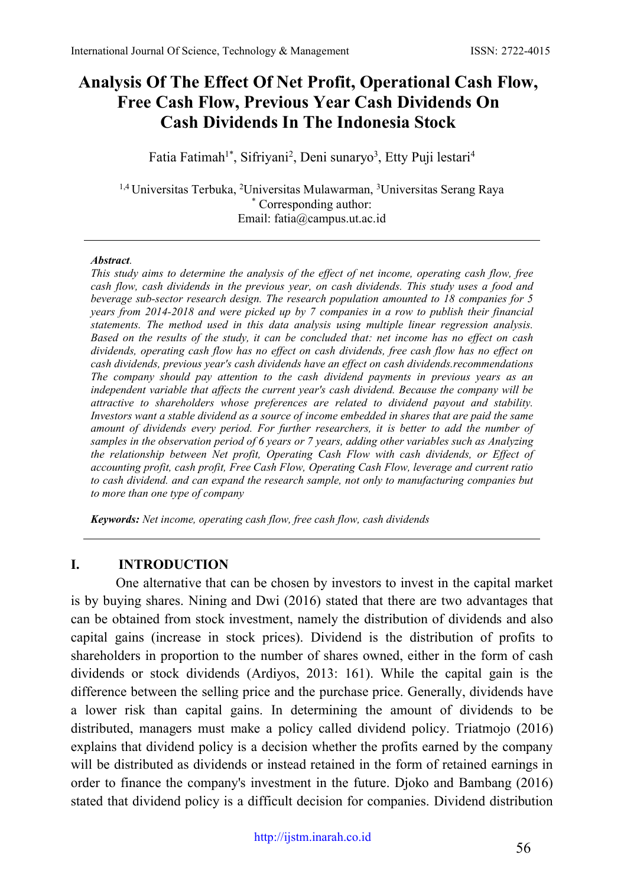# **Analysis Of The Effect Of Net Profit, Operational Cash Flow, Free Cash Flow, Previous Year Cash Dividends On Cash Dividends In The Indonesia Stock**

Fatia Fatimah<sup>1\*</sup>, Sifriyani<sup>2</sup>, Deni sunaryo<sup>3</sup>, Etty Puji lestari<sup>4</sup>

<sup>1,4</sup> Universitas Terbuka, <sup>2</sup>Universitas Mulawarman, <sup>3</sup>Universitas Serang Raya \* Corresponding author: Email: [fatia@campus.ut.ac.id](mailto:fatia@campus.ut.ac.id)

#### *Abstract.*

*This study aims to determine the analysis of the effect of net income, operating cash flow, free cash flow, cash dividends in the previous year, on cash dividends. This study uses a food and beverage sub-sector research design. The research population amounted to 18 companies for 5 years from 2014-2018 and were picked up by 7 companies in a row to publish their financial statements. The method used in this data analysis using multiple linear regression analysis. Based on the results of the study, it can be concluded that: net income has no effect on cash dividends, operating cash flow has no effect on cash dividends, free cash flow has no effect on cash dividends, previous year's cash dividends have an effect on cash dividends.recommendations The company should pay attention to the cash dividend payments in previous years as an independent variable that affects the current year's cash dividend. Because the company will be attractive to shareholders whose preferences are related to dividend payout and stability. Investors want a stable dividend as a source of income embedded in shares that are paid the same amount of dividends every period. For further researchers, it is better to add the number of samples in the observation period of 6 years or 7 years, adding other variables such as Analyzing the relationship between Net profit, Operating Cash Flow with cash dividends, or Effect of accounting profit, cash profit, Free Cash Flow, Operating Cash Flow, leverage and current ratio to cash dividend. and can expand the research sample, not only to manufacturing companies but to more than one type of company*

*Keywords: Net income, operating cash flow, free cash flow, cash dividends*

## **I. INTRODUCTION**

One alternative that can be chosen by investors to invest in the capital market is by buying shares. Nining and Dwi (2016) stated that there are two advantages that can be obtained from stock investment, namely the distribution of dividends and also capital gains (increase in stock prices). Dividend is the distribution of profits to shareholders in proportion to the number of shares owned, either in the form of cash dividends or stock dividends (Ardiyos, 2013: 161). While the capital gain is the difference between the selling price and the purchase price. Generally, dividends have a lower risk than capital gains. In determining the amount of dividends to be distributed, managers must make a policy called dividend policy. Triatmojo (2016) explains that dividend policy is a decision whether the profits earned by the company will be distributed as dividends or instead retained in the form of retained earnings in order to finance the company's investment in the future. Djoko and Bambang (2016) stated that dividend policy is a difficult decision for companies. Dividend distribution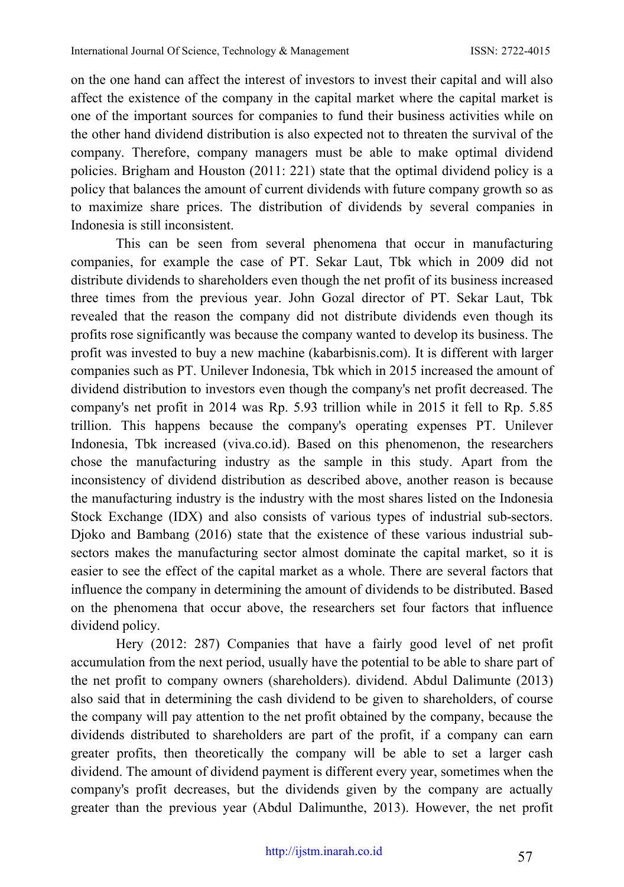on the one hand can affect the interest of investors to invest their capital and will also affect the existence of the company in the capital market where the capital market is one of the important sources for companies to fund their business activities while on the other hand dividend distribution is also expected not to threaten the survival of the company. Therefore, company managers must be able to make optimal dividend policies. Brigham and Houston (2011: 221) state that the optimal dividend policy is a policy that balances the amount of current dividends with future company growth so as to maximize share prices. The distribution of dividends by several companies in Indonesia is still inconsistent.

This can be seen from several phenomena that occur in manufacturing companies, for example the case of PT. Sekar Laut, Tbk which in 2009 did not distribute dividends to shareholders even though the net profit of its business increased three times from the previous year. John Gozal director of PT. Sekar Laut, Tbk revealed that the reason the company did not distribute dividends even though its profits rose significantly was because the company wanted to develop its business. The profit was invested to buy a new machine (kabarbisnis.com). It is different with larger companies such as PT. Unilever Indonesia, Tbk which in 2015 increased the amount of dividend distribution to investors even though the company's net profit decreased. The company's net profit in 2014 was Rp. 5.93 trillion while in 2015 it fell to Rp. 5.85 trillion. This happens because the company's operating expenses PT. Unilever Indonesia, Tbk increased (viva.co.id). Based on this phenomenon, the researchers chose the manufacturing industry as the sample in this study. Apart from the inconsistency of dividend distribution as described above, another reason is because the manufacturing industry is the industry with the most shares listed on the Indonesia Stock Exchange (IDX) and also consists of various types of industrial sub-sectors. Djoko and Bambang (2016) state that the existence of these various industrial subsectors makes the manufacturing sector almost dominate the capital market, so it is easier to see the effect of the capital market as a whole. There are several factors that influence the company in determining the amount of dividends to be distributed. Based on the phenomena that occur above, the researchers set four factors that influence dividend policy.

Hery (2012: 287) Companies that have a fairly good level of net profit accumulation from the next period, usually have the potential to be able to share part of the net profit to company owners (shareholders). dividend. Abdul Dalimunte (2013) also said that in determining the cash dividend to be given to shareholders, of course the company will pay attention to the net profit obtained by the company, because the dividends distributed to shareholders are part of the profit, if a company can earn greater profits, then theoretically the company will be able to set a larger cash dividend. The amount of dividend payment is different every year, sometimes when the company's profit decreases, but the dividends given by the company are actually greater than the previous year (Abdul Dalimunthe, 2013). However, the net profit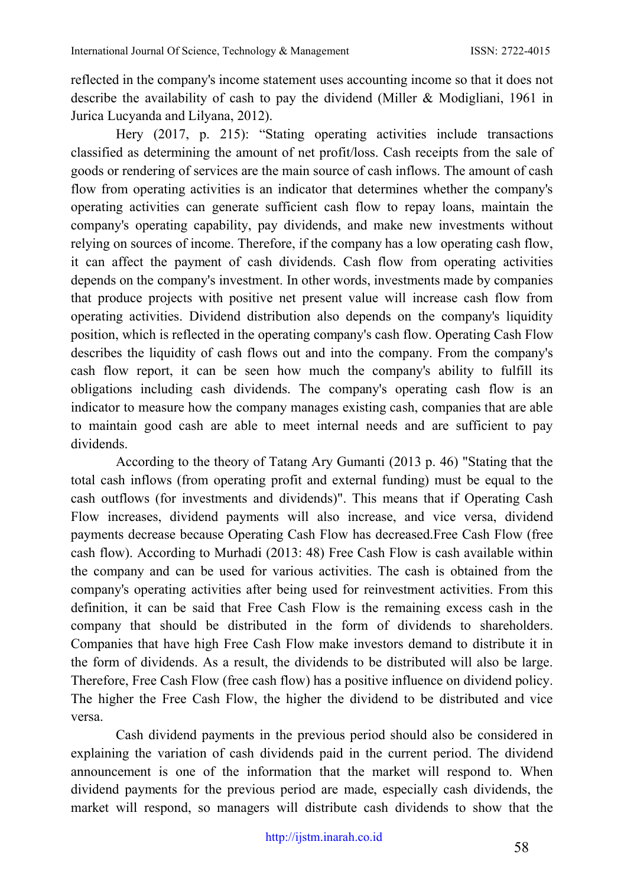reflected in the company's income statement uses accounting income so that it does not describe the availability of cash to pay the dividend (Miller & Modigliani, 1961 in Jurica Lucyanda and Lilyana, 2012).

Hery (2017, p. 215): "Stating operating activities include transactions classified as determining the amount of net profit/loss. Cash receipts from the sale of goods or rendering of services are the main source of cash inflows. The amount of cash flow from operating activities is an indicator that determines whether the company's operating activities can generate sufficient cash flow to repay loans, maintain the company's operating capability, pay dividends, and make new investments without relying on sources of income. Therefore, if the company has a low operating cash flow, it can affect the payment of cash dividends. Cash flow from operating activities depends on the company's investment. In other words, investments made by companies that produce projects with positive net present value will increase cash flow from operating activities. Dividend distribution also depends on the company's liquidity position, which is reflected in the operating company's cash flow. Operating Cash Flow describes the liquidity of cash flows out and into the company. From the company's cash flow report, it can be seen how much the company's ability to fulfill its obligations including cash dividends. The company's operating cash flow is an indicator to measure how the company manages existing cash, companies that are able to maintain good cash are able to meet internal needs and are sufficient to pay dividends.

According to the theory of Tatang Ary Gumanti (2013 p. 46) "Stating that the total cash inflows (from operating profit and external funding) must be equal to the cash outflows (for investments and dividends)". This means that if Operating Cash Flow increases, dividend payments will also increase, and vice versa, dividend payments decrease because Operating Cash Flow has decreased.Free Cash Flow (free cash flow). According to Murhadi (2013: 48) Free Cash Flow is cash available within the company and can be used for various activities. The cash is obtained from the company's operating activities after being used for reinvestment activities. From this definition, it can be said that Free Cash Flow is the remaining excess cash in the company that should be distributed in the form of dividends to shareholders. Companies that have high Free Cash Flow make investors demand to distribute it in the form of dividends. As a result, the dividends to be distributed will also be large. Therefore, Free Cash Flow (free cash flow) has a positive influence on dividend policy. The higher the Free Cash Flow, the higher the dividend to be distributed and vice versa.

Cash dividend payments in the previous period should also be considered in explaining the variation of cash dividends paid in the current period. The dividend announcement is one of the information that the market will respond to. When dividend payments for the previous period are made, especially cash dividends, the market will respond, so managers will distribute cash dividends to show that the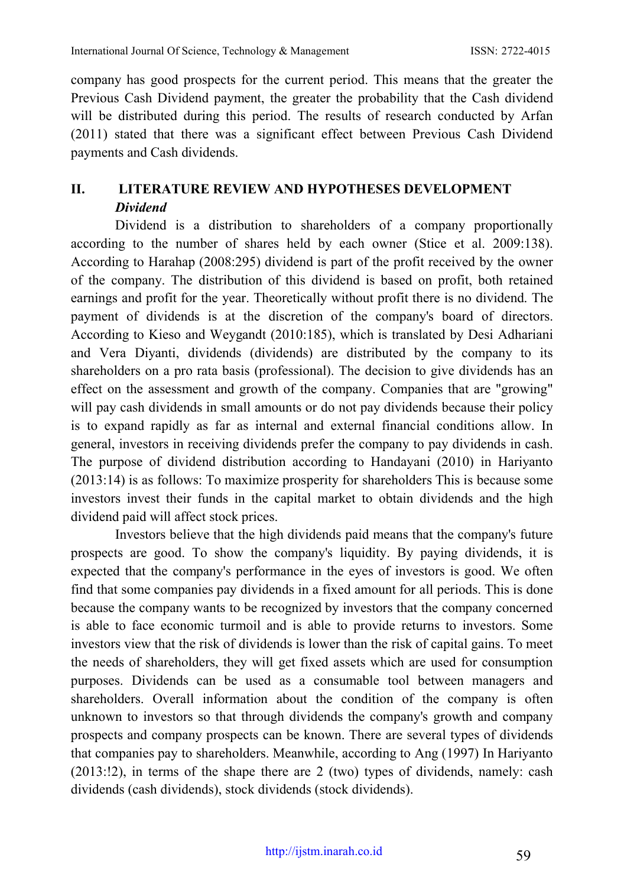company has good prospects for the current period. This means that the greater the Previous Cash Dividend payment, the greater the probability that the Cash dividend will be distributed during this period. The results of research conducted by Arfan (2011) stated that there was a significant effect between Previous Cash Dividend payments and Cash dividends.

# **II. LITERATURE REVIEW AND HYPOTHESES DEVELOPMENT** *Dividend*

Dividend is a distribution to shareholders of a company proportionally according to the number of shares held by each owner (Stice et al. 2009:138). According to Harahap (2008:295) dividend is part of the profit received by the owner of the company. The distribution of this dividend is based on profit, both retained earnings and profit for the year. Theoretically without profit there is no dividend. The payment of dividends is at the discretion of the company's board of directors. According to Kieso and Weygandt (2010:185), which is translated by Desi Adhariani and Vera Diyanti, dividends (dividends) are distributed by the company to its shareholders on a pro rata basis (professional). The decision to give dividends has an effect on the assessment and growth of the company. Companies that are "growing" will pay cash dividends in small amounts or do not pay dividends because their policy is to expand rapidly as far as internal and external financial conditions allow. In general, investors in receiving dividends prefer the company to pay dividends in cash. The purpose of dividend distribution according to Handayani (2010) in Hariyanto (2013:14) is as follows: To maximize prosperity for shareholders This is because some investors invest their funds in the capital market to obtain dividends and the high dividend paid will affect stock prices.

Investors believe that the high dividends paid means that the company's future prospects are good. To show the company's liquidity. By paying dividends, it is expected that the company's performance in the eyes of investors is good. We often find that some companies pay dividends in a fixed amount for all periods. This is done because the company wants to be recognized by investors that the company concerned is able to face economic turmoil and is able to provide returns to investors. Some investors view that the risk of dividends is lower than the risk of capital gains. To meet the needs of shareholders, they will get fixed assets which are used for consumption purposes. Dividends can be used as a consumable tool between managers and shareholders. Overall information about the condition of the company is often unknown to investors so that through dividends the company's growth and company prospects and company prospects can be known. There are several types of dividends that companies pay to shareholders. Meanwhile, according to Ang (1997) In Hariyanto (2013:!2), in terms of the shape there are 2 (two) types of dividends, namely: cash dividends (cash dividends), stock dividends (stock dividends).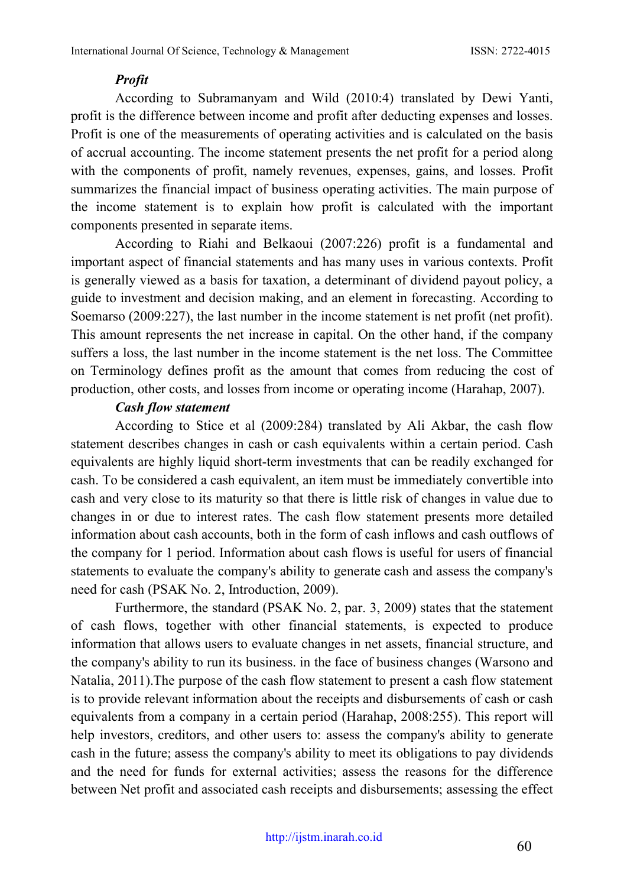#### *Profit*

According to Subramanyam and Wild (2010:4) translated by Dewi Yanti, profit is the difference between income and profit after deducting expenses and losses. Profit is one of the measurements of operating activities and is calculated on the basis of accrual accounting. The income statement presents the net profit for a period along with the components of profit, namely revenues, expenses, gains, and losses. Profit summarizes the financial impact of business operating activities. The main purpose of the income statement is to explain how profit is calculated with the important components presented in separate items.

According to Riahi and Belkaoui (2007:226) profit is a fundamental and important aspect of financial statements and has many uses in various contexts. Profit is generally viewed as a basis for taxation, a determinant of dividend payout policy, a guide to investment and decision making, and an element in forecasting. According to Soemarso (2009:227), the last number in the income statement is net profit (net profit). This amount represents the net increase in capital. On the other hand, if the company suffers a loss, the last number in the income statement is the net loss. The Committee on Terminology defines profit as the amount that comes from reducing the cost of production, other costs, and losses from income or operating income (Harahap, 2007).

#### *Cash flow statement*

According to Stice et al (2009:284) translated by Ali Akbar, the cash flow statement describes changes in cash or cash equivalents within a certain period. Cash equivalents are highly liquid short-term investments that can be readily exchanged for cash. To be considered a cash equivalent, an item must be immediately convertible into cash and very close to its maturity so that there is little risk of changes in value due to changes in or due to interest rates. The cash flow statement presents more detailed information about cash accounts, both in the form of cash inflows and cash outflows of the company for 1 period. Information about cash flows is useful for users of financial statements to evaluate the company's ability to generate cash and assess the company's need for cash (PSAK No. 2, Introduction, 2009).

Furthermore, the standard (PSAK No. 2, par. 3, 2009) states that the statement of cash flows, together with other financial statements, is expected to produce information that allows users to evaluate changes in net assets, financial structure, and the company's ability to run its business. in the face of business changes (Warsono and Natalia, 2011).The purpose of the cash flow statement to present a cash flow statement is to provide relevant information about the receipts and disbursements of cash or cash equivalents from a company in a certain period (Harahap, 2008:255). This report will help investors, creditors, and other users to: assess the company's ability to generate cash in the future; assess the company's ability to meet its obligations to pay dividends and the need for funds for external activities; assess the reasons for the difference between Net profit and associated cash receipts and disbursements; assessing the effect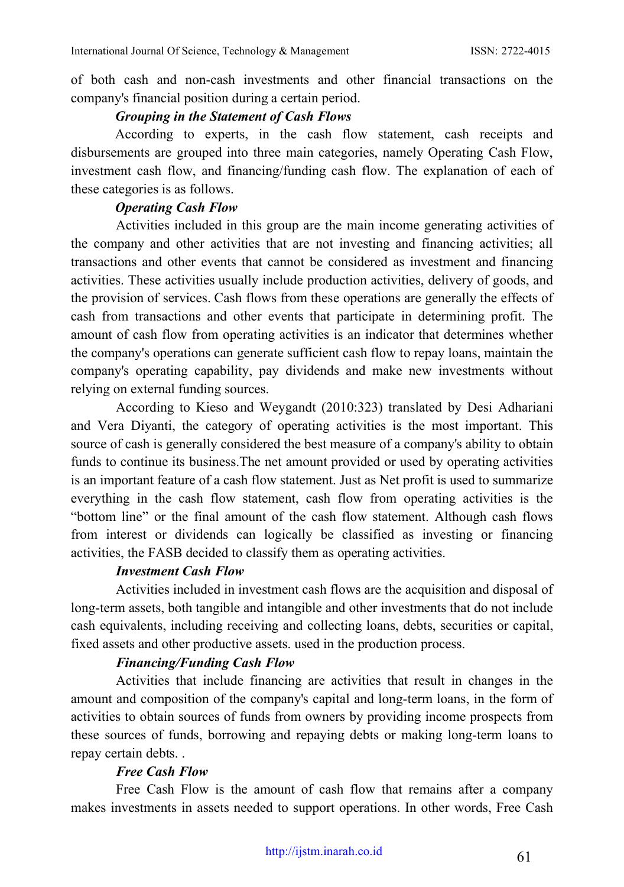of both cash and non-cash investments and other financial transactions on the company's financial position during a certain period.

#### *Grouping in the Statement of Cash Flows*

According to experts, in the cash flow statement, cash receipts and disbursements are grouped into three main categories, namely Operating Cash Flow, investment cash flow, and financing/funding cash flow. The explanation of each of these categories is as follows.

## *Operating Cash Flow*

Activities included in this group are the main income generating activities of the company and other activities that are not investing and financing activities; all transactions and other events that cannot be considered as investment and financing activities. These activities usually include production activities, delivery of goods, and the provision of services. Cash flows from these operations are generally the effects of cash from transactions and other events that participate in determining profit. The amount of cash flow from operating activities is an indicator that determines whether the company's operations can generate sufficient cash flow to repay loans, maintain the company's operating capability, pay dividends and make new investments without relying on external funding sources.

According to Kieso and Weygandt (2010:323) translated by Desi Adhariani and Vera Diyanti, the category of operating activities is the most important. This source of cash is generally considered the best measure of a company's ability to obtain funds to continue its business.The net amount provided or used by operating activities is an important feature of a cash flow statement. Just as Net profit is used to summarize everything in the cash flow statement, cash flow from operating activities is the "bottom line" or the final amount of the cash flow statement. Although cash flows from interest or dividends can logically be classified as investing or financing activities, the FASB decided to classify them as operating activities.

## *Investment Cash Flow*

Activities included in investment cash flows are the acquisition and disposal of long-term assets, both tangible and intangible and other investments that do not include cash equivalents, including receiving and collecting loans, debts, securities or capital, fixed assets and other productive assets. used in the production process.

## *Financing/Funding Cash Flow*

Activities that include financing are activities that result in changes in the amount and composition of the company's capital and long-term loans, in the form of activities to obtain sources of funds from owners by providing income prospects from these sources of funds, borrowing and repaying debts or making long-term loans to repay certain debts. .

## *Free Cash Flow*

Free Cash Flow is the amount of cash flow that remains after a company makes investments in assets needed to support operations. In other words, Free Cash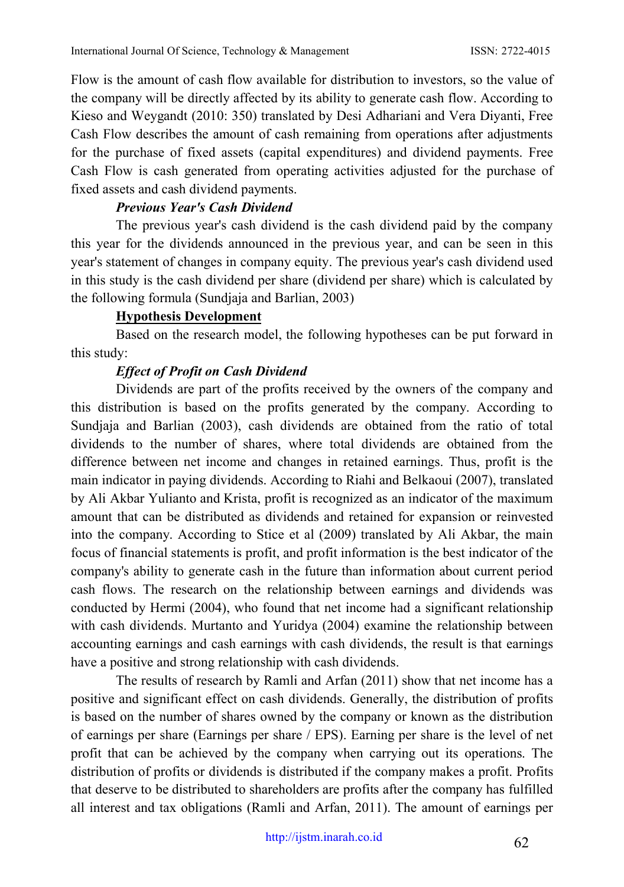Flow is the amount of cash flow available for distribution to investors, so the value of the company will be directly affected by its ability to generate cash flow. According to Kieso and Weygandt (2010: 350) translated by Desi Adhariani and Vera Diyanti, Free Cash Flow describes the amount of cash remaining from operations after adjustments for the purchase of fixed assets (capital expenditures) and dividend payments. Free Cash Flow is cash generated from operating activities adjusted for the purchase of fixed assets and cash dividend payments.

## *Previous Year's Cash Dividend*

The previous year's cash dividend is the cash dividend paid by the company this year for the dividends announced in the previous year, and can be seen in this year's statement of changes in company equity. The previous year's cash dividend used in this study is the cash dividend per share (dividend per share) which is calculated by the following formula (Sundjaja and Barlian, 2003)

## **Hypothesis Development**

Based on the research model, the following hypotheses can be put forward in this study:

## *Effect of Profit on Cash Dividend*

Dividends are part of the profits received by the owners of the company and this distribution is based on the profits generated by the company. According to Sundjaja and Barlian (2003), cash dividends are obtained from the ratio of total dividends to the number of shares, where total dividends are obtained from the difference between net income and changes in retained earnings. Thus, profit is the main indicator in paying dividends. According to Riahi and Belkaoui (2007), translated by Ali Akbar Yulianto and Krista, profit is recognized as an indicator of the maximum amount that can be distributed as dividends and retained for expansion or reinvested into the company. According to Stice et al (2009) translated by Ali Akbar, the main focus of financial statements is profit, and profit information is the best indicator of the company's ability to generate cash in the future than information about current period cash flows. The research on the relationship between earnings and dividends was conducted by Hermi (2004), who found that net income had a significant relationship with cash dividends. Murtanto and Yuridya (2004) examine the relationship between accounting earnings and cash earnings with cash dividends, the result is that earnings have a positive and strong relationship with cash dividends.

The results of research by Ramli and Arfan (2011) show that net income has a positive and significant effect on cash dividends. Generally, the distribution of profits is based on the number of shares owned by the company or known as the distribution of earnings per share (Earnings per share / EPS). Earning per share is the level of net profit that can be achieved by the company when carrying out its operations. The distribution of profits or dividends is distributed if the company makes a profit. Profits that deserve to be distributed to shareholders are profits after the company has fulfilled all interest and tax obligations (Ramli and Arfan, 2011). The amount of earnings per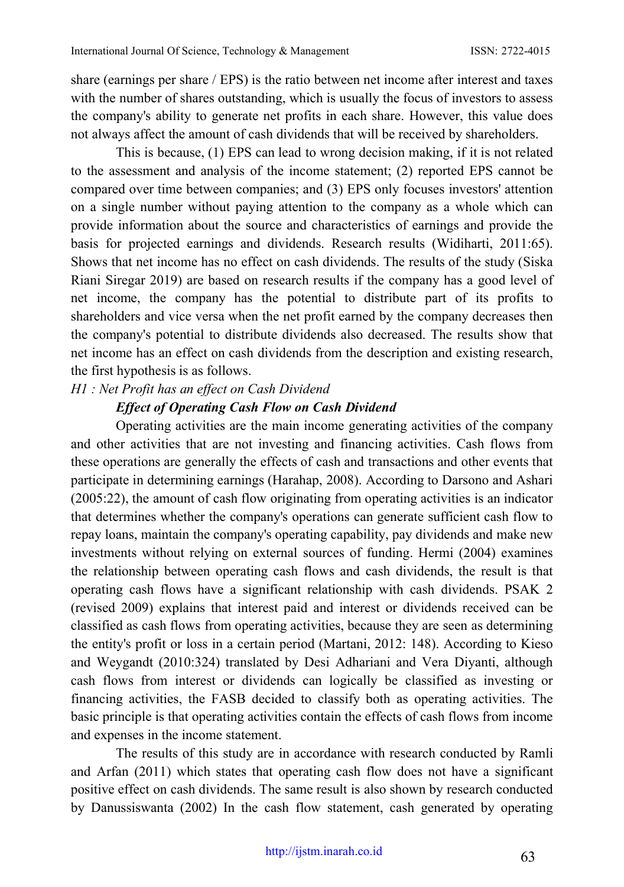share (earnings per share / EPS) is the ratio between net income after interest and taxes with the number of shares outstanding, which is usually the focus of investors to assess the company's ability to generate net profits in each share. However, this value does not always affect the amount of cash dividends that will be received by shareholders.

This is because, (1) EPS can lead to wrong decision making, if it is not related to the assessment and analysis of the income statement; (2) reported EPS cannot be compared over time between companies; and (3) EPS only focuses investors' attention on a single number without paying attention to the company as a whole which can provide information about the source and characteristics of earnings and provide the basis for projected earnings and dividends. Research results (Widiharti, 2011:65). Shows that net income has no effect on cash dividends. The results of the study (Siska Riani Siregar 2019) are based on research results if the company has a good level of net income, the company has the potential to distribute part of its profits to shareholders and vice versa when the net profit earned by the company decreases then the company's potential to distribute dividends also decreased. The results show that net income has an effect on cash dividends from the description and existing research, the first hypothesis is as follows.

#### *H1 : Net Profit has an effect on Cash Dividend*

#### *Effect of Operating Cash Flow on Cash Dividend*

Operating activities are the main income generating activities of the company and other activities that are not investing and financing activities. Cash flows from these operations are generally the effects of cash and transactions and other events that participate in determining earnings (Harahap, 2008). According to Darsono and Ashari (2005:22), the amount of cash flow originating from operating activities is an indicator that determines whether the company's operations can generate sufficient cash flow to repay loans, maintain the company's operating capability, pay dividends and make new investments without relying on external sources of funding. Hermi (2004) examines the relationship between operating cash flows and cash dividends, the result is that operating cash flows have a significant relationship with cash dividends. PSAK 2 (revised 2009) explains that interest paid and interest or dividends received can be classified as cash flows from operating activities, because they are seen as determining the entity's profit or loss in a certain period (Martani, 2012: 148). According to Kieso and Weygandt (2010:324) translated by Desi Adhariani and Vera Diyanti, although cash flows from interest or dividends can logically be classified as investing or financing activities, the FASB decided to classify both as operating activities. The basic principle is that operating activities contain the effects of cash flows from income and expenses in the income statement.

The results of this study are in accordance with research conducted by Ramli and Arfan (2011) which states that operating cash flow does not have a significant positive effect on cash dividends. The same result is also shown by research conducted by Danussiswanta (2002) In the cash flow statement, cash generated by operating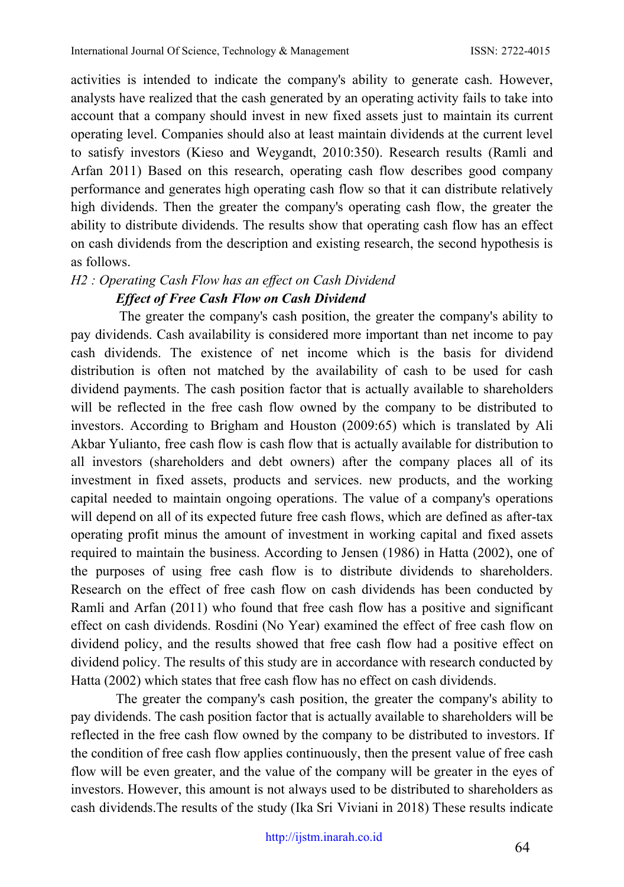activities is intended to indicate the company's ability to generate cash. However, analysts have realized that the cash generated by an operating activity fails to take into account that a company should invest in new fixed assets just to maintain its current operating level. Companies should also at least maintain dividends at the current level to satisfy investors (Kieso and Weygandt, 2010:350). Research results (Ramli and Arfan 2011) Based on this research, operating cash flow describes good company performance and generates high operating cash flow so that it can distribute relatively high dividends. Then the greater the company's operating cash flow, the greater the ability to distribute dividends. The results show that operating cash flow has an effect on cash dividends from the description and existing research, the second hypothesis is as follows.

# *H2 : Operating Cash Flow has an effect on Cash Dividend Effect of Free Cash Flow on Cash Dividend*

The greater the company's cash position, the greater the company's ability to pay dividends. Cash availability is considered more important than net income to pay cash dividends. The existence of net income which is the basis for dividend distribution is often not matched by the availability of cash to be used for cash dividend payments. The cash position factor that is actually available to shareholders will be reflected in the free cash flow owned by the company to be distributed to investors. According to Brigham and Houston (2009:65) which is translated by Ali Akbar Yulianto, free cash flow is cash flow that is actually available for distribution to all investors (shareholders and debt owners) after the company places all of its investment in fixed assets, products and services. new products, and the working capital needed to maintain ongoing operations. The value of a company's operations will depend on all of its expected future free cash flows, which are defined as after-tax operating profit minus the amount of investment in working capital and fixed assets required to maintain the business. According to Jensen (1986) in Hatta (2002), one of the purposes of using free cash flow is to distribute dividends to shareholders. Research on the effect of free cash flow on cash dividends has been conducted by Ramli and Arfan (2011) who found that free cash flow has a positive and significant effect on cash dividends. Rosdini (No Year) examined the effect of free cash flow on dividend policy, and the results showed that free cash flow had a positive effect on dividend policy. The results of this study are in accordance with research conducted by Hatta (2002) which states that free cash flow has no effect on cash dividends.

The greater the company's cash position, the greater the company's ability to pay dividends. The cash position factor that is actually available to shareholders will be reflected in the free cash flow owned by the company to be distributed to investors. If the condition of free cash flow applies continuously, then the present value of free cash flow will be even greater, and the value of the company will be greater in the eyes of investors. However, this amount is not always used to be distributed to shareholders as cash dividends.The results of the study (Ika Sri Viviani in 2018) These results indicate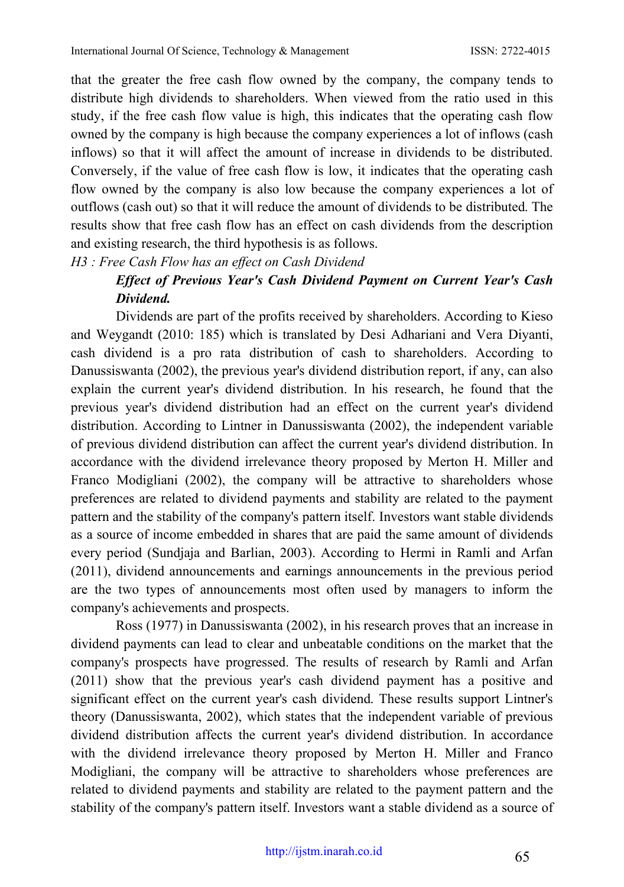that the greater the free cash flow owned by the company, the company tends to distribute high dividends to shareholders. When viewed from the ratio used in this study, if the free cash flow value is high, this indicates that the operating cash flow owned by the company is high because the company experiences a lot of inflows (cash inflows) so that it will affect the amount of increase in dividends to be distributed. Conversely, if the value of free cash flow is low, it indicates that the operating cash flow owned by the company is also low because the company experiences a lot of outflows (cash out) so that it will reduce the amount of dividends to be distributed. The results show that free cash flow has an effect on cash dividends from the description and existing research, the third hypothesis is as follows.

*H3 : Free Cash Flow has an effect on Cash Dividend*

# *Effect of Previous Year's Cash Dividend Payment on Current Year's Cash Dividend.*

Dividends are part of the profits received by shareholders. According to Kieso and Weygandt (2010: 185) which is translated by Desi Adhariani and Vera Diyanti, cash dividend is a pro rata distribution of cash to shareholders. According to Danussiswanta (2002), the previous year's dividend distribution report, if any, can also explain the current year's dividend distribution. In his research, he found that the previous year's dividend distribution had an effect on the current year's dividend distribution. According to Lintner in Danussiswanta (2002), the independent variable of previous dividend distribution can affect the current year's dividend distribution. In accordance with the dividend irrelevance theory proposed by Merton H. Miller and Franco Modigliani (2002), the company will be attractive to shareholders whose preferences are related to dividend payments and stability are related to the payment pattern and the stability of the company's pattern itself. Investors want stable dividends as a source of income embedded in shares that are paid the same amount of dividends every period (Sundjaja and Barlian, 2003). According to Hermi in Ramli and Arfan (2011), dividend announcements and earnings announcements in the previous period are the two types of announcements most often used by managers to inform the company's achievements and prospects.

Ross (1977) in Danussiswanta (2002), in his research proves that an increase in dividend payments can lead to clear and unbeatable conditions on the market that the company's prospects have progressed. The results of research by Ramli and Arfan (2011) show that the previous year's cash dividend payment has a positive and significant effect on the current year's cash dividend. These results support Lintner's theory (Danussiswanta, 2002), which states that the independent variable of previous dividend distribution affects the current year's dividend distribution. In accordance with the dividend irrelevance theory proposed by Merton H. Miller and Franco Modigliani, the company will be attractive to shareholders whose preferences are related to dividend payments and stability are related to the payment pattern and the stability of the company's pattern itself. Investors want a stable dividend as a source of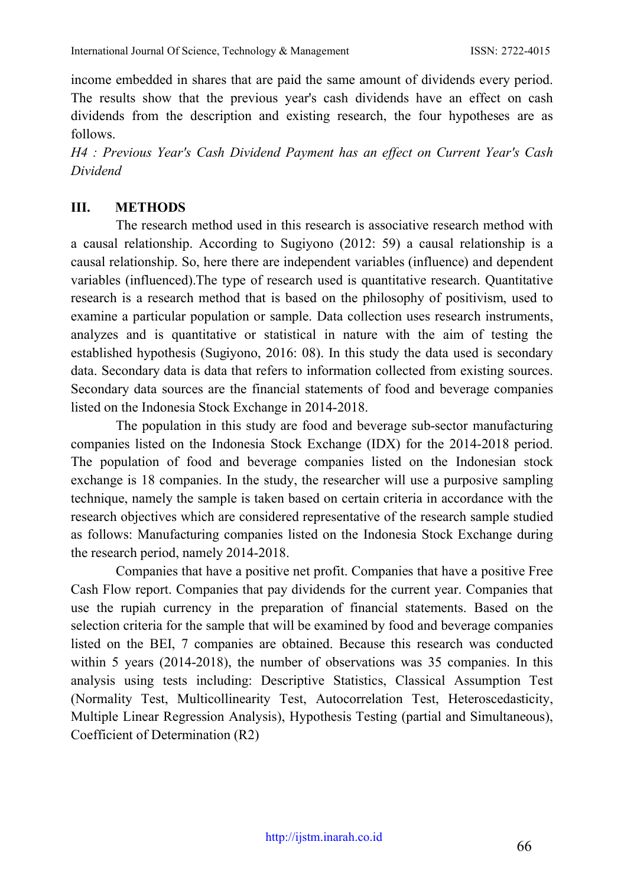income embedded in shares that are paid the same amount of dividends every period. The results show that the previous year's cash dividends have an effect on cash dividends from the description and existing research, the four hypotheses are as follows.

*H4 : Previous Year's Cash Dividend Payment has an effect on Current Year's Cash Dividend*

## **III. METHODS**

The research method used in this research is associative research method with a causal relationship. According to Sugiyono (2012: 59) a causal relationship is a causal relationship. So, here there are independent variables (influence) and dependent variables (influenced).The type of research used is quantitative research. Quantitative research is a research method that is based on the philosophy of positivism, used to examine a particular population or sample. Data collection uses research instruments, analyzes and is quantitative or statistical in nature with the aim of testing the established hypothesis (Sugiyono, 2016: 08). In this study the data used is secondary data. Secondary data is data that refers to information collected from existing sources. Secondary data sources are the financial statements of food and beverage companies listed on the Indonesia Stock Exchange in 2014-2018.

The population in this study are food and beverage sub-sector manufacturing companies listed on the Indonesia Stock Exchange (IDX) for the 2014-2018 period. The population of food and beverage companies listed on the Indonesian stock exchange is 18 companies. In the study, the researcher will use a purposive sampling technique, namely the sample is taken based on certain criteria in accordance with the research objectives which are considered representative of the research sample studied as follows: Manufacturing companies listed on the Indonesia Stock Exchange during the research period, namely 2014-2018.

Companies that have a positive net profit. Companies that have a positive Free Cash Flow report. Companies that pay dividends for the current year. Companies that use the rupiah currency in the preparation of financial statements. Based on the selection criteria for the sample that will be examined by food and beverage companies listed on the BEI, 7 companies are obtained. Because this research was conducted within 5 years (2014-2018), the number of observations was 35 companies. In this analysis using tests including: Descriptive Statistics, Classical Assumption Test (Normality Test, Multicollinearity Test, Autocorrelation Test, Heteroscedasticity, Multiple Linear Regression Analysis), Hypothesis Testing (partial and Simultaneous), Coefficient of Determination (R2)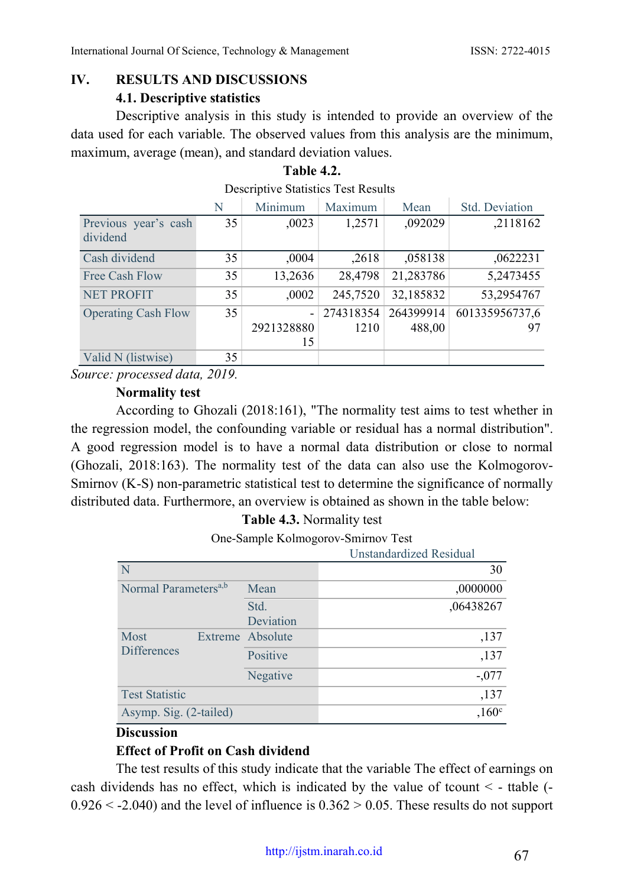# **IV. RESULTS AND DISCUSSIONS 4.1. Descriptive statistics**

Descriptive analysis in this study is intended to provide an overview of the data used for each variable. The observed values from this analysis are the minimum, maximum, average (mean), and standard deviation values.

**Table 4.2.**

#### Descriptive Statistics Test Results N Minimum Maximum Mean Std. Deviation Previous year's cash dividend 35 ,0023 1,2571 ,092029 ,2118162 Cash dividend 35 35,0004 35,0004 7.2618 5,0004 0622231 Free Cash Flow 35 13,2636 28,4798 21,283786 5,2473455 NET PROFIT 35 0002 245,7520 32,185832 53,2954767 Operating Cash Flow 35 2921328880 15 274318354 1210 264399914 488,00 601335956737,6 97 Valid N (listwise) 35

*Source: processed data, 2019.*

## **Normality test**

According to Ghozali (2018:161), "The normality test aims to test whether in the regression model, the confounding variable or residual has a normal distribution". A good regression model is to have a normal data distribution or close to normal (Ghozali, 2018:163). The normality test of the data can also use the Kolmogorov-Smirnov (K-S) non-parametric statistical test to determine the significance of normally distributed data. Furthermore, an overview is obtained as shown in the table below:

## **Table 4.3.** Normality test

One-Sample Kolmogorov-Smirnov Test

|                                  |                  | Unstandardized Residual |
|----------------------------------|------------------|-------------------------|
| N                                |                  | 30                      |
| Normal Parameters <sup>a,b</sup> | Mean             | ,0000000                |
|                                  | Std.             | ,06438267               |
|                                  | Deviation        |                         |
| Most<br><b>Differences</b>       | Extreme Absolute | ,137                    |
|                                  | Positive         | ,137                    |
|                                  | Negative         | $-.077$                 |
| <b>Test Statistic</b>            |                  | ,137                    |
| Asymp. Sig. (2-tailed)           |                  | .160 <sup>c</sup>       |

#### **Discussion**

## **Effect of Profit on Cash dividend**

The test results of this study indicate that the variable The effect of earnings on cash dividends has no effect, which is indicated by the value of tcount  $\leq$  - ttable (- $0.926 \leq 2.040$ ) and the level of influence is  $0.362 \geq 0.05$ . These results do not support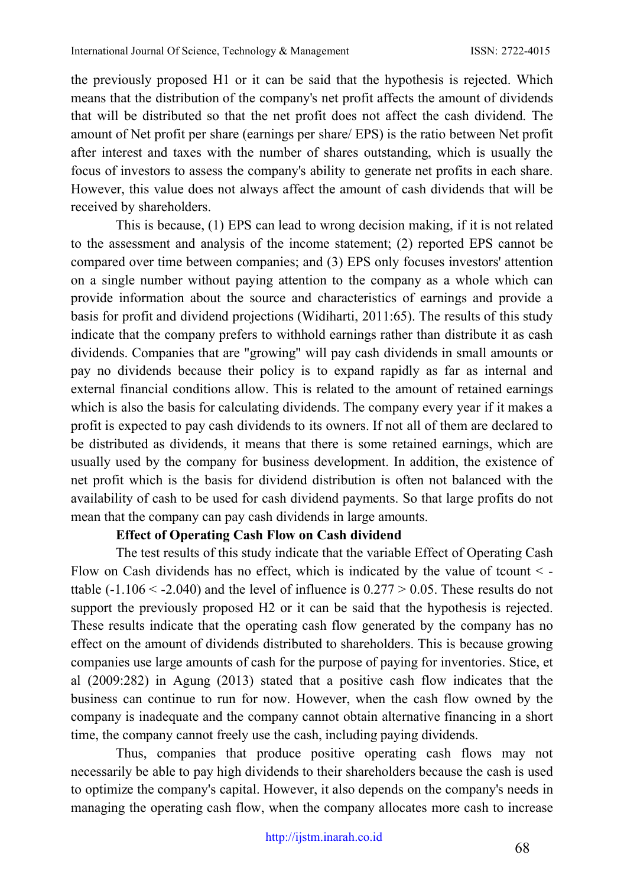the previously proposed H1 or it can be said that the hypothesis is rejected. Which means that the distribution of the company's net profit affects the amount of dividends that will be distributed so that the net profit does not affect the cash dividend. The amount of Net profit per share (earnings per share/ EPS) is the ratio between Net profit after interest and taxes with the number of shares outstanding, which is usually the focus of investors to assess the company's ability to generate net profits in each share. However, this value does not always affect the amount of cash dividends that will be received by shareholders.

This is because, (1) EPS can lead to wrong decision making, if it is not related to the assessment and analysis of the income statement; (2) reported EPS cannot be compared over time between companies; and (3) EPS only focuses investors' attention on a single number without paying attention to the company as a whole which can provide information about the source and characteristics of earnings and provide a basis for profit and dividend projections (Widiharti, 2011:65). The results of this study indicate that the company prefers to withhold earnings rather than distribute it as cash dividends. Companies that are "growing" will pay cash dividends in small amounts or pay no dividends because their policy is to expand rapidly as far as internal and external financial conditions allow. This is related to the amount of retained earnings which is also the basis for calculating dividends. The company every year if it makes a profit is expected to pay cash dividends to its owners. If not all of them are declared to be distributed as dividends, it means that there is some retained earnings, which are usually used by the company for business development. In addition, the existence of net profit which is the basis for dividend distribution is often not balanced with the availability of cash to be used for cash dividend payments. So that large profits do not mean that the company can pay cash dividends in large amounts.

## **Effect of Operating Cash Flow on Cash dividend**

The test results of this study indicate that the variable Effect of Operating Cash Flow on Cash dividends has no effect, which is indicated by the value of tcount  $\leq$ ttable  $(-1.106 \le -2.040)$  and the level of influence is  $0.277 \ge 0.05$ . These results do not support the previously proposed H2 or it can be said that the hypothesis is rejected. These results indicate that the operating cash flow generated by the company has no effect on the amount of dividends distributed to shareholders. This is because growing companies use large amounts of cash for the purpose of paying for inventories. Stice, et al (2009:282) in Agung (2013) stated that a positive cash flow indicates that the business can continue to run for now. However, when the cash flow owned by the company is inadequate and the company cannot obtain alternative financing in a short time, the company cannot freely use the cash, including paying dividends.

Thus, companies that produce positive operating cash flows may not necessarily be able to pay high dividends to their shareholders because the cash is used to optimize the company's capital. However, it also depends on the company's needs in managing the operating cash flow, when the company allocates more cash to increase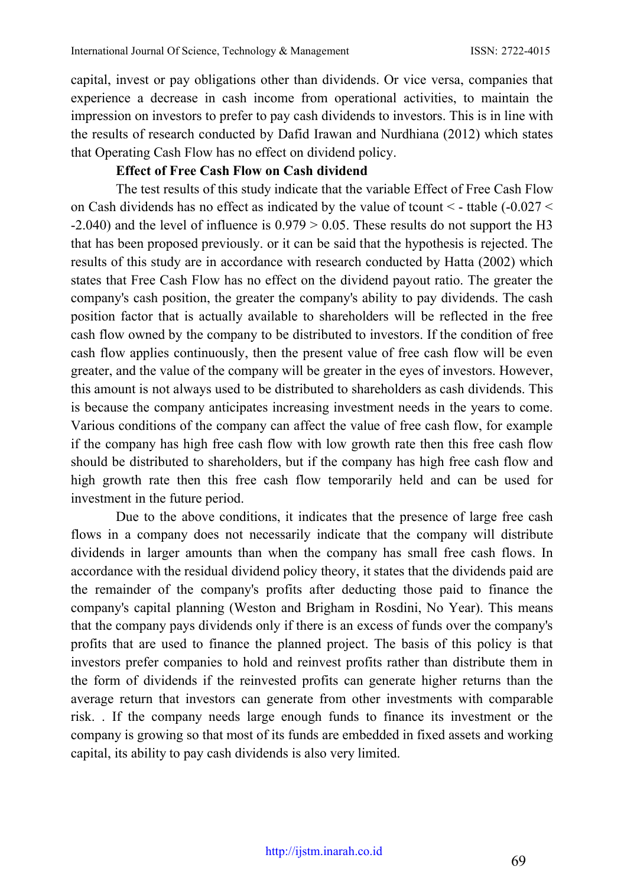capital, invest or pay obligations other than dividends. Or vice versa, companies that experience a decrease in cash income from operational activities, to maintain the impression on investors to prefer to pay cash dividends to investors. This is in line with the results of research conducted by Dafid Irawan and Nurdhiana (2012) which states that Operating Cash Flow has no effect on dividend policy.

#### **Effect of Free Cash Flow on Cash dividend**

The test results of this study indicate that the variable Effect of Free Cash Flow on Cash dividends has no effect as indicated by the value of tcount < - ttable (-0.027 <  $-2.040$ ) and the level of influence is  $0.979 \ge 0.05$ . These results do not support the H3 that has been proposed previously. or it can be said that the hypothesis is rejected. The results of this study are in accordance with research conducted by Hatta (2002) which states that Free Cash Flow has no effect on the dividend payout ratio. The greater the company's cash position, the greater the company's ability to pay dividends. The cash position factor that is actually available to shareholders will be reflected in the free cash flow owned by the company to be distributed to investors. If the condition of free cash flow applies continuously, then the present value of free cash flow will be even greater, and the value of the company will be greater in the eyes of investors. However, this amount is not always used to be distributed to shareholders as cash dividends. This is because the company anticipates increasing investment needs in the years to come. Various conditions of the company can affect the value of free cash flow, for example if the company has high free cash flow with low growth rate then this free cash flow should be distributed to shareholders, but if the company has high free cash flow and high growth rate then this free cash flow temporarily held and can be used for investment in the future period.

Due to the above conditions, it indicates that the presence of large free cash flows in a company does not necessarily indicate that the company will distribute dividends in larger amounts than when the company has small free cash flows. In accordance with the residual dividend policy theory, it states that the dividends paid are the remainder of the company's profits after deducting those paid to finance the company's capital planning (Weston and Brigham in Rosdini, No Year). This means that the company pays dividends only if there is an excess of funds over the company's profits that are used to finance the planned project. The basis of this policy is that investors prefer companies to hold and reinvest profits rather than distribute them in the form of dividends if the reinvested profits can generate higher returns than the average return that investors can generate from other investments with comparable risk. . If the company needs large enough funds to finance its investment or the company is growing so that most of its funds are embedded in fixed assets and working capital, its ability to pay cash dividends is also very limited.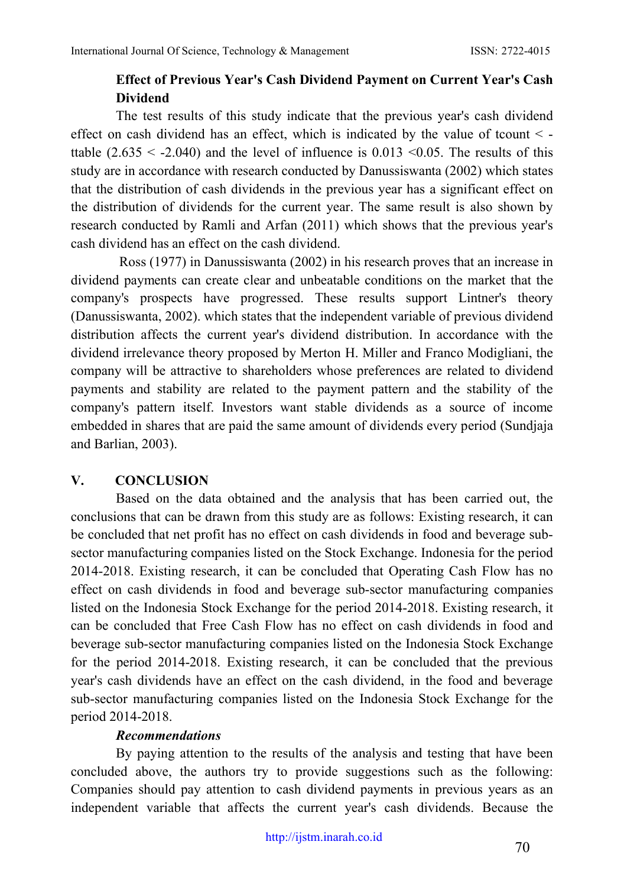# **Effect of Previous Year's Cash Dividend Payment on Current Year's Cash Dividend**

The test results of this study indicate that the previous year's cash dividend effect on cash dividend has an effect, which is indicated by the value of tcount  $\leq$ ttable  $(2.635 < -2.040)$  and the level of influence is 0.013 < 0.05. The results of this study are in accordance with research conducted by Danussiswanta (2002) which states that the distribution of cash dividends in the previous year has a significant effect on the distribution of dividends for the current year. The same result is also shown by research conducted by Ramli and Arfan (2011) which shows that the previous year's cash dividend has an effect on the cash dividend.

Ross (1977) in Danussiswanta (2002) in his research proves that an increase in dividend payments can create clear and unbeatable conditions on the market that the company's prospects have progressed. These results support Lintner's theory (Danussiswanta, 2002). which states that the independent variable of previous dividend distribution affects the current year's dividend distribution. In accordance with the dividend irrelevance theory proposed by Merton H. Miller and Franco Modigliani, the company will be attractive to shareholders whose preferences are related to dividend payments and stability are related to the payment pattern and the stability of the company's pattern itself. Investors want stable dividends as a source of income embedded in shares that are paid the same amount of dividends every period (Sundjaja and Barlian, 2003).

## **V. CONCLUSION**

Based on the data obtained and the analysis that has been carried out, the conclusions that can be drawn from this study are as follows: Existing research, it can be concluded that net profit has no effect on cash dividends in food and beverage subsector manufacturing companies listed on the Stock Exchange. Indonesia for the period 2014-2018. Existing research, it can be concluded that Operating Cash Flow has no effect on cash dividends in food and beverage sub-sector manufacturing companies listed on the Indonesia Stock Exchange for the period 2014-2018. Existing research, it can be concluded that Free Cash Flow has no effect on cash dividends in food and beverage sub-sector manufacturing companies listed on the Indonesia Stock Exchange for the period 2014-2018. Existing research, it can be concluded that the previous year's cash dividends have an effect on the cash dividend, in the food and beverage sub-sector manufacturing companies listed on the Indonesia Stock Exchange for the period 2014-2018.

## *Recommendations*

By paying attention to the results of the analysis and testing that have been concluded above, the authors try to provide suggestions such as the following: Companies should pay attention to cash dividend payments in previous years as an independent variable that affects the current year's cash dividends. Because the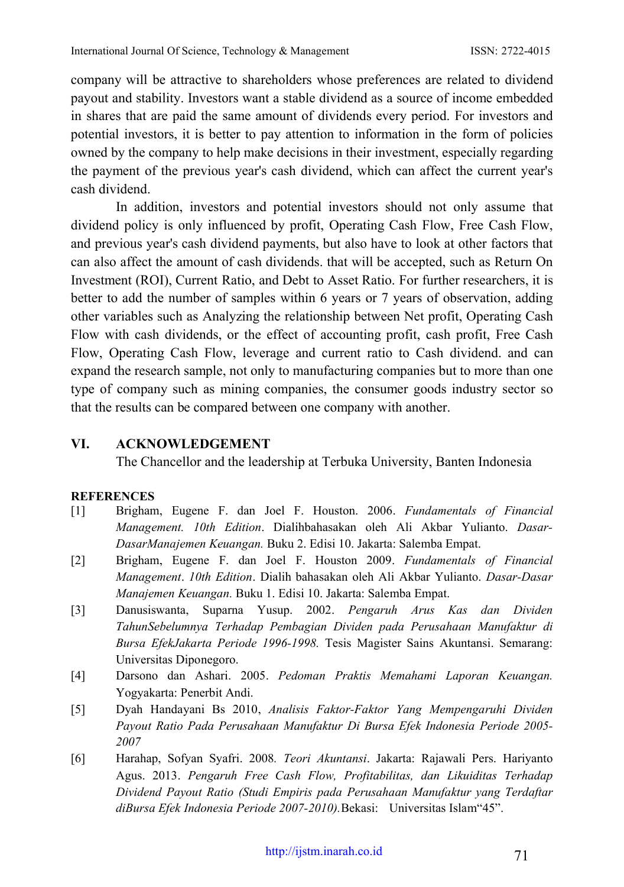company will be attractive to shareholders whose preferences are related to dividend payout and stability. Investors want a stable dividend as a source of income embedded in shares that are paid the same amount of dividends every period. For investors and potential investors, it is better to pay attention to information in the form of policies owned by the company to help make decisions in their investment, especially regarding the payment of the previous year's cash dividend, which can affect the current year's cash dividend.

In addition, investors and potential investors should not only assume that dividend policy is only influenced by profit, Operating Cash Flow, Free Cash Flow, and previous year's cash dividend payments, but also have to look at other factors that can also affect the amount of cash dividends. that will be accepted, such as Return On Investment (ROI), Current Ratio, and Debt to Asset Ratio. For further researchers, it is better to add the number of samples within 6 years or 7 years of observation, adding other variables such as Analyzing the relationship between Net profit, Operating Cash Flow with cash dividends, or the effect of accounting profit, cash profit, Free Cash Flow, Operating Cash Flow, leverage and current ratio to Cash dividend. and can expand the research sample, not only to manufacturing companies but to more than one type of company such as mining companies, the consumer goods industry sector so that the results can be compared between one company with another.

## **VI. ACKNOWLEDGEMENT**

The Chancellor and the leadership at Terbuka University, Banten Indonesia

#### **REFERENCES**

- [1] Brigham, Eugene F. dan Joel F. Houston. 2006. *Fundamentals of Financial Management. 10th Edition*. Dialihbahasakan oleh Ali Akbar Yulianto. *Dasar-DasarManajemen Keuangan.* Buku 2. Edisi 10. Jakarta: Salemba Empat.
- [2] Brigham, Eugene F. dan Joel F. Houston 2009. *Fundamentals of Financial Management*. *10th Edition*. Dialih bahasakan oleh Ali Akbar Yulianto. *Dasar-Dasar Manajemen Keuangan.* Buku 1. Edisi 10. Jakarta: Salemba Empat.
- [3] Danusiswanta, Suparna Yusup. 2002. *Pengaruh Arus Kas dan Dividen TahunSebelumnya Terhadap Pembagian Dividen pada Perusahaan Manufaktur di Bursa EfekJakarta Periode 1996-1998.* Tesis Magister Sains Akuntansi. Semarang: Universitas Diponegoro.
- [4] Darsono dan Ashari. 2005. *Pedoman Praktis Memahami Laporan Keuangan.* Yogyakarta: Penerbit Andi.
- [5] Dyah Handayani Bs 2010, *Analisis Faktor-Faktor Yang Mempengaruhi Dividen Payout Ratio Pada Perusahaan Manufaktur Di Bursa Efek Indonesia Periode 2005- 2007*
- [6] Harahap, Sofyan Syafri. 2008*. Teori Akuntansi*. Jakarta: Rajawali Pers. Hariyanto Agus. 2013. *Pengaruh Free Cash Flow, Profitabilitas, dan Likuiditas Terhadap Dividend Payout Ratio (Studi Empiris pada Perusahaan Manufaktur yang Terdaftar diBursa Efek Indonesia Periode 2007-2010).*Bekasi: Universitas Islam"45".